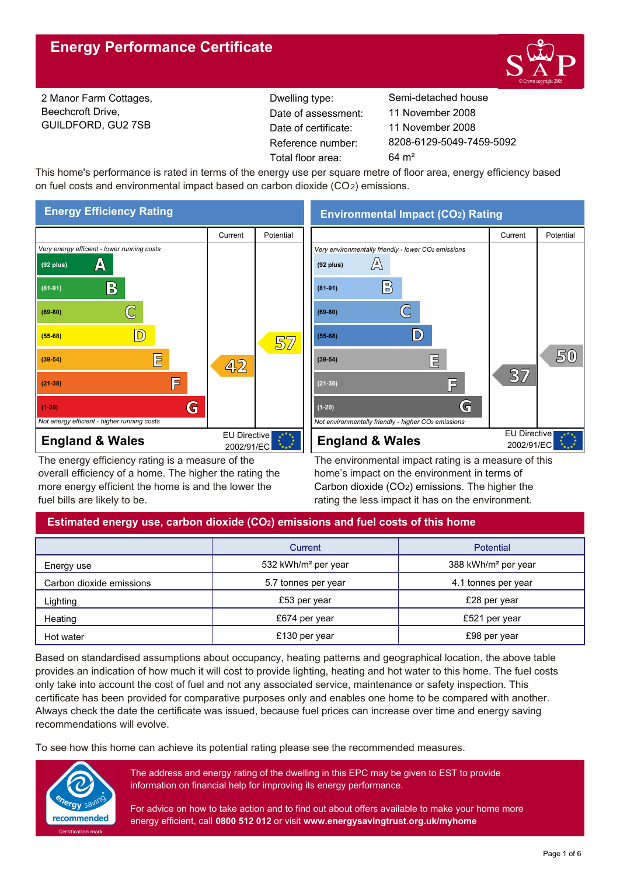

2 Manor Farm Cottages, Beechcroft Drive, GUILDFORD, GU2 7SB

Reference number: Date of certificate: Total floor area: 64 m² Date of assessment:

Dwelling type: Semi-detached house 8208-6129-5049-7459-5092 11 November 2008 11 November 2008

This home's performance is rated in terms of the energy use per square metre of floor area, energy efficiency based on fuel costs and environmental impact based on carbon dioxide (CO2) emissions.



The energy efficiency rating is a measure of the overall efficiency of a home. The higher the rating the more energy efficient the home is and the lower the fuel bills are likely to be.

**Environmental Impact (CO2) Rating**



The environmental impact rating is a measure of this home's impact on the environment in terms of Carbon dioxide (CO2) emissions. The higher the rating the less impact it has on the environment.

# **Estimated energy use, carbon dioxide (CO2) emissions and fuel costs of this home**

|                          | Current                         | <b>Potential</b>                |
|--------------------------|---------------------------------|---------------------------------|
| Energy use               | 532 kWh/m <sup>2</sup> per year | 388 kWh/m <sup>2</sup> per year |
| Carbon dioxide emissions | 5.7 tonnes per year             | 4.1 tonnes per year             |
| Lighting                 | £53 per year                    | £28 per year                    |
| Heating                  | £674 per year                   | £521 per year                   |
| Hot water                | £130 per year                   | £98 per year                    |

Based on standardised assumptions about occupancy, heating patterns and geographical location, the above table provides an indication of how much it will cost to provide lighting, heating and hot water to this home. The fuel costs only take into account the cost of fuel and not any associated service, maintenance or safety inspection. This certificate has been provided for comparative purposes only and enables one home to be compared with another. Always check the date the certificate was issued, because fuel prices can increase over time and energy saving recommendations will evolve.

To see how this home can achieve its potential rating please see the recommended measures.



The address and energy rating of the dwelling in this EPC may be given to EST to provide information on financial help for improving its energy performance.

For advice on how to take action and to find out about offers available to make your home more energy efficient, call **0800 512 012** or visit **www.energysavingtrust.org.uk/myhome**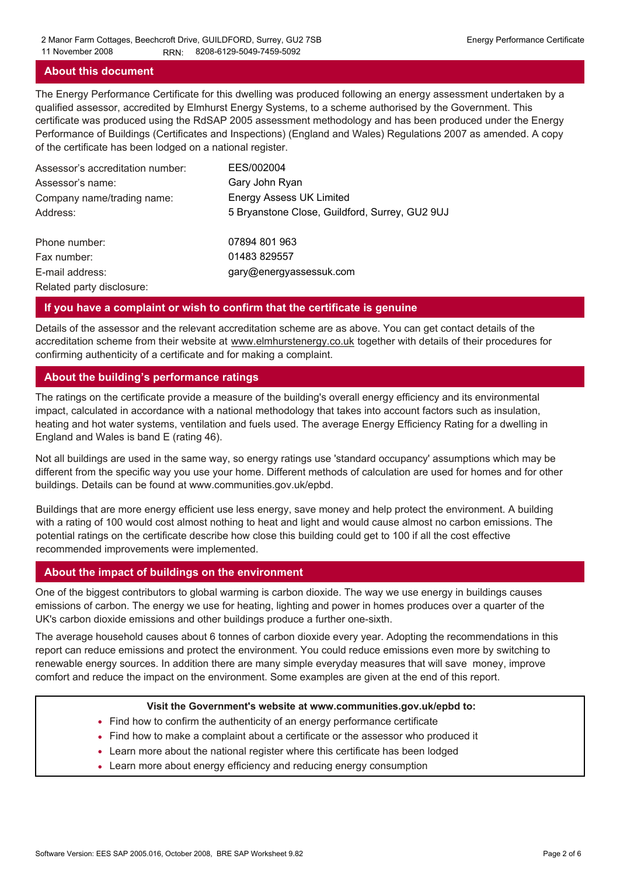# **About this document**

The Energy Performance Certificate for this dwelling was produced following an energy assessment undertaken by a qualified assessor, accredited by Elmhurst Energy Systems, to a scheme authorised by the Government. This certificate was produced using the RdSAP 2005 assessment methodology and has been produced under the Energy Performance of Buildings (Certificates and Inspections) (England and Wales) Regulations 2007 as amended. A copy of the certificate has been lodged on a national register.

| Assessor's accreditation number: | EES/002004                                     |
|----------------------------------|------------------------------------------------|
| Assessor's name:                 | Gary John Ryan                                 |
| Company name/trading name:       | <b>Energy Assess UK Limited</b>                |
| Address:                         | 5 Bryanstone Close, Guildford, Surrey, GU2 9UJ |
| Phone number:                    | 07894 801 963                                  |
| Fax number:                      | 01483 829557                                   |
| E-mail address:                  | gary@energyassessuk.com                        |
| Related party disclosure:        |                                                |

## **If you have a complaint or wish to confirm that the certificate is genuine**

Details of the assessor and the relevant accreditation scheme are as above. You can get contact details of the accreditation scheme from their website at www.elmhurstenergy.co.uk together with details of their procedures for confirming authenticity of a certificate and for making a complaint.

# **About the building's performance ratings**

The ratings on the certificate provide a measure of the building's overall energy efficiency and its environmental impact, calculated in accordance with a national methodology that takes into account factors such as insulation, heating and hot water systems, ventilation and fuels used. The average Energy Efficiency Rating for a dwelling in England and Wales is band E (rating 46).

Not all buildings are used in the same way, so energy ratings use 'standard occupancy' assumptions which may be different from the specific way you use your home. Different methods of calculation are used for homes and for other buildings. Details can be found at www.communities.gov.uk/epbd.

Buildings that are more energy efficient use less energy, save money and help protect the environment. A building with a rating of 100 would cost almost nothing to heat and light and would cause almost no carbon emissions. The potential ratings on the certificate describe how close this building could get to 100 if all the cost effective recommended improvements were implemented.

## **About the impact of buildings on the environment**

One of the biggest contributors to global warming is carbon dioxide. The way we use energy in buildings causes emissions of carbon. The energy we use for heating, lighting and power in homes produces over a quarter of the UK's carbon dioxide emissions and other buildings produce a further one-sixth.

The average household causes about 6 tonnes of carbon dioxide every year. Adopting the recommendations in this report can reduce emissions and protect the environment. You could reduce emissions even more by switching to renewable energy sources. In addition there are many simple everyday measures that will save money, improve comfort and reduce the impact on the environment. Some examples are given at the end of this report.

#### **Visit the Government's website at www.communities.gov.uk/epbd to:**

- Find how to confirm the authenticity of an energy performance certificate
- Find how to make a complaint about a certificate or the assessor who produced it •
- Learn more about the national register where this certificate has been lodged •
- Learn more about energy efficiency and reducing energy consumption •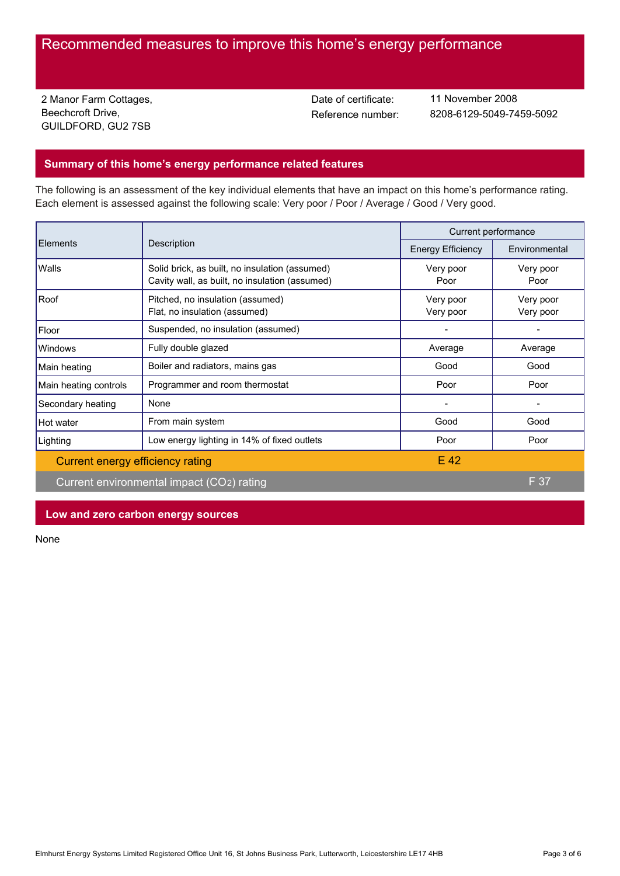# Recommended measures to improve this home's energy performance

2 Manor Farm Cottages, Beechcroft Drive, GUILDFORD, GU2 7SB

Date of certificate:

Reference number: 8208-6129-5049-7459-5092 11 November 2008

# **Summary of this home's energy performance related features**

The following is an assessment of the key individual elements that have an impact on this home's performance rating. Each element is assessed against the following scale: Very poor / Poor / Average / Good / Very good.

| Elements                                  | Description                                                                                      | Current performance      |                        |
|-------------------------------------------|--------------------------------------------------------------------------------------------------|--------------------------|------------------------|
|                                           |                                                                                                  | <b>Energy Efficiency</b> | Environmental          |
| Walls                                     | Solid brick, as built, no insulation (assumed)<br>Cavity wall, as built, no insulation (assumed) | Very poor<br>Poor        | Very poor<br>Poor      |
| Roof                                      | Pitched, no insulation (assumed)<br>Flat, no insulation (assumed)                                | Very poor<br>Very poor   | Very poor<br>Very poor |
| Floor                                     | Suspended, no insulation (assumed)                                                               |                          |                        |
| Windows                                   | Fully double glazed                                                                              | Average                  | Average                |
| Main heating                              | Boiler and radiators, mains gas                                                                  | Good                     | Good                   |
| Main heating controls                     | Programmer and room thermostat                                                                   | Poor                     | Poor                   |
| Secondary heating                         | None                                                                                             |                          |                        |
| Hot water                                 | From main system                                                                                 | Good                     | Good                   |
| Lighting                                  | Low energy lighting in 14% of fixed outlets                                                      | Poor                     | Poor                   |
| Current energy efficiency rating          |                                                                                                  | E 42                     |                        |
| Current environmental impact (CO2) rating |                                                                                                  |                          | F 37                   |

# **Low and zero carbon energy sources**

None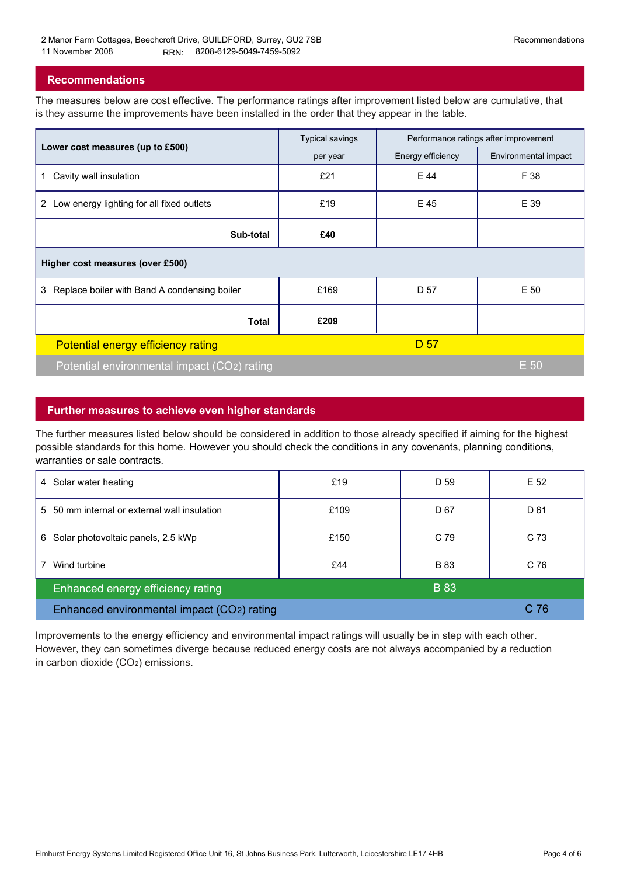## **Recommendations**

The measures below are cost effective. The performance ratings after improvement listed below are cumulative, that is they assume the improvements have been installed in the order that they appear in the table.

|                                                           | <b>Typical savings</b> | Performance ratings after improvement |                      |  |  |
|-----------------------------------------------------------|------------------------|---------------------------------------|----------------------|--|--|
| Lower cost measures (up to £500)                          | per year               | Energy efficiency                     | Environmental impact |  |  |
| Cavity wall insulation<br>1.                              | £21                    | E 44                                  | F 38                 |  |  |
| Low energy lighting for all fixed outlets<br>$\mathbf{2}$ | £19                    | E 45                                  | E 39                 |  |  |
| Sub-total                                                 | £40                    |                                       |                      |  |  |
| Higher cost measures (over £500)                          |                        |                                       |                      |  |  |
| Replace boiler with Band A condensing boiler<br>3         | £169                   | D 57                                  | E 50                 |  |  |
| Total                                                     | £209                   |                                       |                      |  |  |
| Potential energy efficiency rating                        |                        | D 57                                  |                      |  |  |
| Potential environmental impact (CO2) rating               |                        |                                       | E 50                 |  |  |

## **Further measures to achieve even higher standards**

The further measures listed below should be considered in addition to those already specified if aiming for the highest possible standards for this home. However you should check the conditions in any covenants, planning conditions, warranties or sale contracts.

| Solar water heating<br>4                     | £19  | D 59        | E 52 |
|----------------------------------------------|------|-------------|------|
| 5 50 mm internal or external wall insulation | £109 | D 67        | D 61 |
| Solar photovoltaic panels, 2.5 kWp<br>6      | £150 | C 79        | C 73 |
| Wind turbine                                 | £44  | <b>B</b> 83 | C 76 |
| Enhanced energy efficiency rating            |      | <b>B</b> 83 |      |
| Enhanced environmental impact (CO2) rating   |      |             | C 76 |

Improvements to the energy efficiency and environmental impact ratings will usually be in step with each other. However, they can sometimes diverge because reduced energy costs are not always accompanied by a reduction in carbon dioxide (CO2) emissions.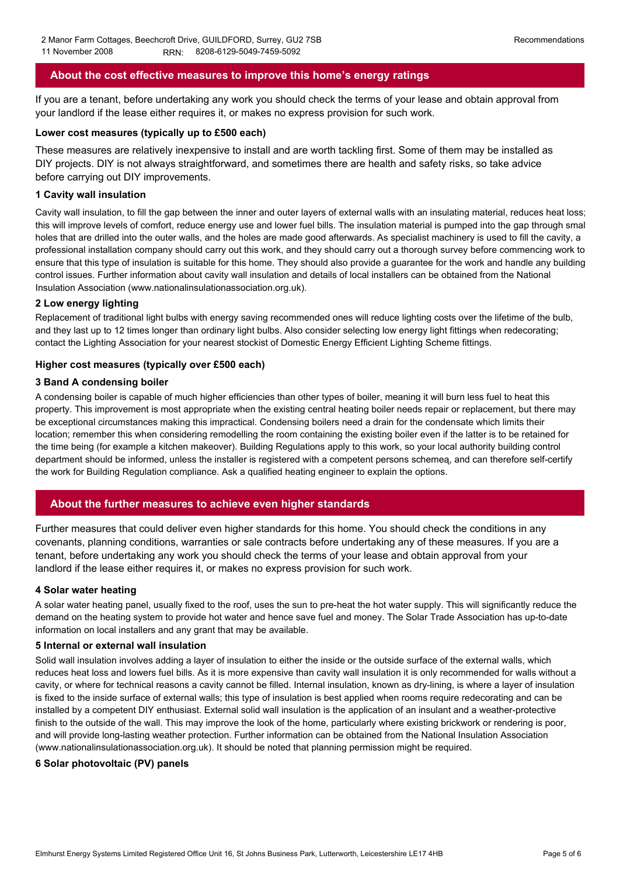# **About the cost effective measures to improve this home's energy ratings**

If you are a tenant, before undertaking any work you should check the terms of your lease and obtain approval from your landlord if the lease either requires it, or makes no express provision for such work.

### **Lower cost measures (typically up to £500 each)**

These measures are relatively inexpensive to install and are worth tackling first. Some of them may be installed as DIY projects. DIY is not always straightforward, and sometimes there are health and safety risks, so take advice before carrying out DIY improvements.

#### **1 Cavity wall insulation**

Cavity wall insulation, to fill the gap between the inner and outer layers of external walls with an insulating material, reduces heat loss; this will improve levels of comfort, reduce energy use and lower fuel bills. The insulation material is pumped into the gap through small holes that are drilled into the outer walls, and the holes are made good afterwards. As specialist machinery is used to fill the cavity, a professional installation company should carry out this work, and they should carry out a thorough survey before commencing work to ensure that this type of insulation is suitable for this home. They should also provide a guarantee for the work and handle any building control issues. Further information about cavity wall insulation and details of local installers can be obtained from the National Insulation Association (www.nationalinsulationassociation.org.uk).

#### **2 Low energy lighting**

Replacement of traditional light bulbs with energy saving recommended ones will reduce lighting costs over the lifetime of the bulb, and they last up to 12 times longer than ordinary light bulbs. Also consider selecting low energy light fittings when redecorating; contact the Lighting Association for your nearest stockist of Domestic Energy Efficient Lighting Scheme fittings.

#### **Higher cost measures (typically over £500 each)**

#### **3 Band A condensing boiler**

A condensing boiler is capable of much higher efficiencies than other types of boiler, meaning it will burn less fuel to heat this property. This improvement is most appropriate when the existing central heating boiler needs repair or replacement, but there may be exceptional circumstances making this impractical. Condensing boilers need a drain for the condensate which limits their location; remember this when considering remodelling the room containing the existing boiler even if the latter is to be retained for the time being (for example a kitchen makeover). Building Regulations apply to this work, so your local authority building control department should be informed, unless the installer is registered with a competent persons schemeą, and can therefore self-certify the work for Building Regulation compliance. Ask a qualified heating engineer to explain the options.

# **About the further measures to achieve even higher standards**

Further measures that could deliver even higher standards for this home. You should check the conditions in any covenants, planning conditions, warranties or sale contracts before undertaking any of these measures. If you are a tenant, before undertaking any work you should check the terms of your lease and obtain approval from your landlord if the lease either requires it, or makes no express provision for such work.

#### **4 Solar water heating**

A solar water heating panel, usually fixed to the roof, uses the sun to pre-heat the hot water supply. This will significantly reduce the demand on the heating system to provide hot water and hence save fuel and money. The Solar Trade Association has up-to-date information on local installers and any grant that may be available.

#### **5 Internal or external wall insulation**

Solid wall insulation involves adding a layer of insulation to either the inside or the outside surface of the external walls, which reduces heat loss and lowers fuel bills. As it is more expensive than cavity wall insulation it is only recommended for walls without a cavity, or where for technical reasons a cavity cannot be filled. Internal insulation, known as dry-lining, is where a layer of insulation is fixed to the inside surface of external walls; this type of insulation is best applied when rooms require redecorating and can be installed by a competent DIY enthusiast. External solid wall insulation is the application of an insulant and a weather-protective finish to the outside of the wall. This may improve the look of the home, particularly where existing brickwork or rendering is poor, and will provide long-lasting weather protection. Further information can be obtained from the National Insulation Association (www.nationalinsulationassociation.org.uk). It should be noted that planning permission might be required.

#### **6 Solar photovoltaic (PV) panels**